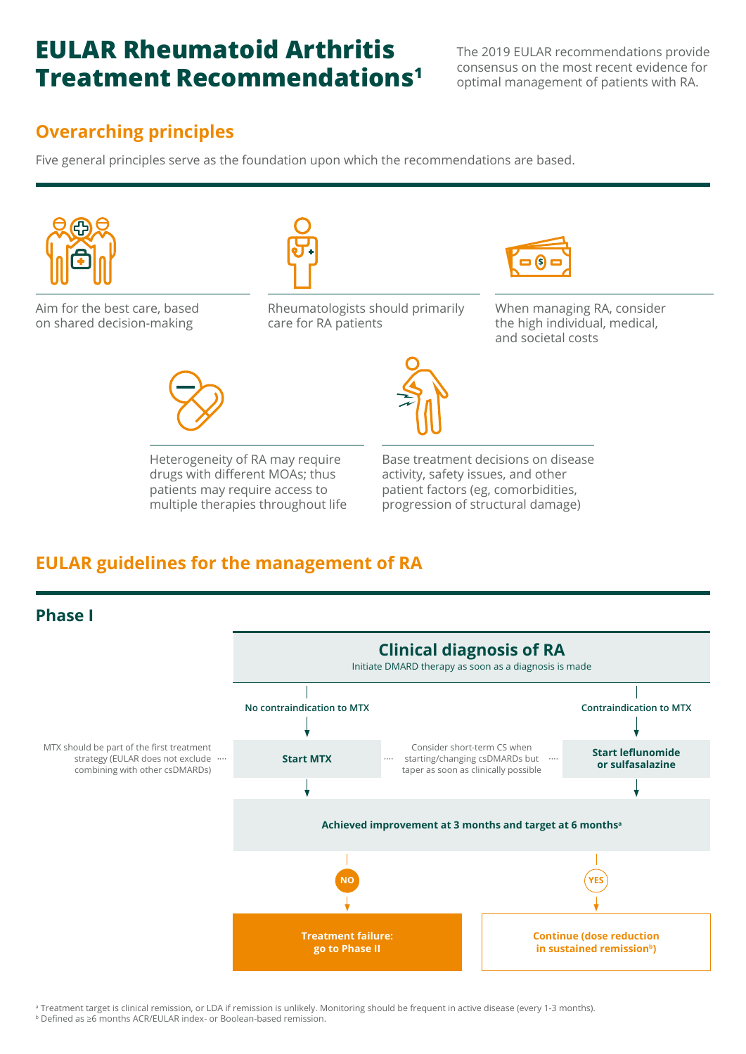## **EULAR Rheumatoid Arthritis Treatment Recommendations1**

The 2019 EULAR recommendations provide consensus on the most recent evidence for optimal management of patients with RA.

## **Overarching principles**

Five general principles serve as the foundation upon which the recommendations are based.



Aim for the best care, based on shared decision-making



Rheumatologists should primarily care for RA patients



When managing RA, consider the high individual, medical, and societal costs



Heterogeneity of RA may require drugs with different MOAs; thus patients may require access to multiple therapies throughout life



Base treatment decisions on disease activity, safety issues, and other patient factors (eg, comorbidities, progression of structural damage)

## **EULAR guidelines for the management of RA**



a Treatment target is clinical remission, or LDA if remission is unlikely. Monitoring should be frequent in active disease (every 1-3 months). <sup>b</sup> Defined as ≥6 months ACR/EULAR index- or Boolean-based remission.